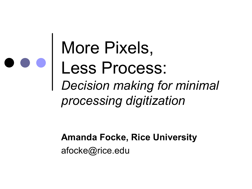More Pixels, Less Process: *Decision making for minimal processing digitization*

> **Amanda Focke, Rice University** afocke@rice.edu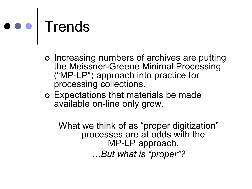# ooo Trends

- ¢ Increasing numbers of archives are putting the Meissner-Greene Minimal Processing ("MPLP") approach into practice for processing collections.
- ¢ Expectations that materials be made available on-line only grow.

What we think of as "proper digitization" processes are at odds with the MP-LP approach. *…But what is "proper"?*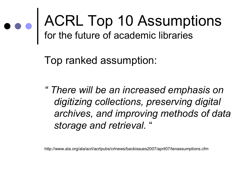## ACRL Top 10 Assumptions for the future of academic libraries

Top ranked assumption:

*" There will be an increased emphasis on digitizing collections, preserving digital archives, and improving methods of data storage and retrieval.* "

http://www.ala.org/ala/acrl/acrlpubs/crlnews/backissues2007/april07/tenassumptions.cfm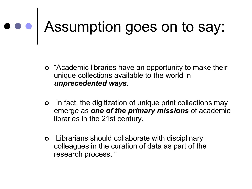# Assumption goes on to say:

- ¢ "Academic libraries have an opportunity to make their unique collections available to the world in *unprecedented ways*.
- ¢ In fact, the digitization of unique print collections may emerge as *one of the primary missions* of academic libraries in the 21st century.
- ¢ Librarians should collaborate with disciplinary colleagues in the curation of data as part of the research process. "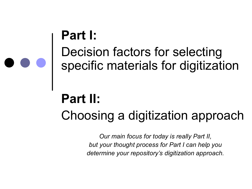### **Part I:** Decision factors for selecting specific materials for digitization

## **Part II:** Choosing a digitization approach

*Our main focus for today is really Part II, but your thought process for Part I can help you determine your repository's digitization approach.*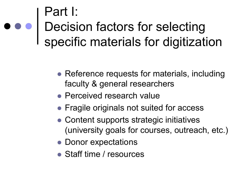### Part I: Decision factors for selecting specific materials for digitization

- Reference requests for materials, including faculty & general researchers
- Perceived research value
- Fragile originals not suited for access
- Content supports strategic initiatives (university goals for courses, outreach, etc.)
- Donor expectations
- Staff time / resources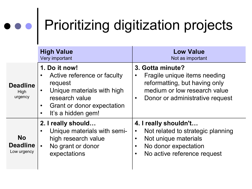# Prioritizing digitization projects

|                                             | <b>High Value</b><br>Very important                                                                                                                                      | <b>Low Value</b><br>Not as important                                                                                                                                             |
|---------------------------------------------|--------------------------------------------------------------------------------------------------------------------------------------------------------------------------|----------------------------------------------------------------------------------------------------------------------------------------------------------------------------------|
| <b>Deadline</b><br>High<br>urgency          | 1. Do it now!<br>Active reference or faculty<br>request<br>Unique materials with high<br>$\bullet$<br>research value<br>Grant or donor expectation<br>It's a hidden gem! | 3. Gotta minute?<br>Fragile unique items needing<br>$\bullet$<br>reformatting, but having only<br>medium or low research value<br>Donor or administrative request<br>$\bullet$   |
| <b>No</b><br><b>Deadline</b><br>Low urgency | 2. I really should<br>Unique materials with semi-<br>high research value<br>No grant or donor<br>expectations                                                            | 4. I really shouldn't<br>Not related to strategic planning<br>$\bullet$<br>Not unique materials<br>$\bullet$<br>No donor expectation<br>No active reference request<br>$\bullet$ |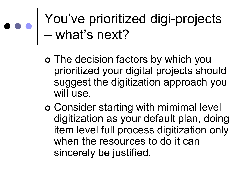You've prioritized digi-projects – what's next?

- ¢ The decision factors by which you prioritized your digital projects should suggest the digitization approach you will use.
- ¢ Consider starting with mimimal level digitization as your default plan, doing item level full process digitization only when the resources to do it can sincerely be justified.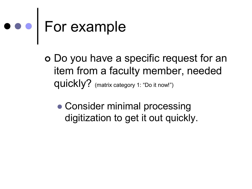# For example

¢ Do you have a specific request for an item from a faculty member, needed quickly? (matrix category 1: "Do it now!")

• Consider minimal processing digitization to get it out quickly.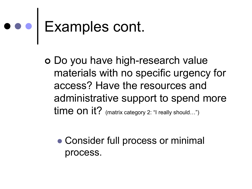# Examples cont.

**o** Do you have high-research value materials with no specific urgency for access? Have the resources and administrative support to spend more time on it? (matrix category 2: "I really should...")

• Consider full process or minimal process.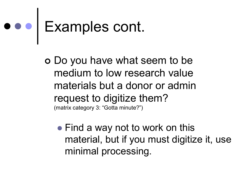# Examples cont.

¢ Do you have what seem to be medium to low research value materials but a donor or admin request to digitize them? (matrix category 3: "Gotta minute?")

• Find a way not to work on this material, but if you must digitize it, use minimal processing.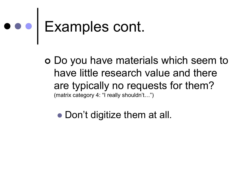# Examples cont.

¢ Do you have materials which seem to have little research value and there are typically no requests for them? (matrix category 4: "I really shouldn't…")

• Don't digitize them at all.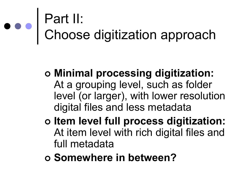## Part II: Choose digitization approach

- ¢ **Minimal processing digitization:** At a grouping level, such as folder level (or larger), with lower resolution digital files and less metadata
- ¢ **Item level full process digitization:** At item level with rich digital files and full metadata
- ¢ **Somewhere in between?**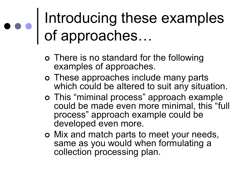## Introducing these examples of approaches…

- ¢ There is no standard for the following examples of approaches.
- ¢ These approaches include many parts which could be altered to suit any situation.
- ¢ This "miminal process" approach example could be made even more minimal, this "full process" approach example could be developed even more.
- ¢ Mix and match parts to meet your needs, same as you would when formulating a collection processing plan.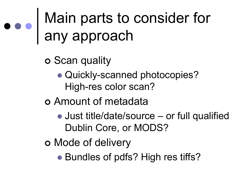## Main parts to consider for any approach

¢ Scan quality

• Quickly-scanned photocopies? High-res color scan?

¢ Amount of metadata

- Just title/date/source or full qualified Dublin Core, or MODS?
- ¢ Mode of delivery

• Bundles of pdfs? High res tiffs?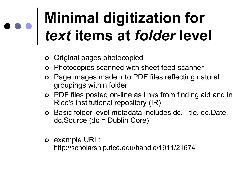# **Minimal digitization for** *text* **items at** *folder* **level**

- ¢ Original pages photocopied
- ¢ Photocopies scanned with sheet feed scanner
- ¢ Page images made into PDF files reflecting natural groupings within folder
- **o** PDF files posted on-line as links from finding aid and in Rice's institutional repository (IR)
- ¢ Basic folder level metadata includes dc.Title, dc.Date, dc.Source (dc = Dublin Core)
- ¢ example URL: http://scholarship.rice.edu/handle/1911/21674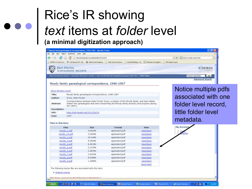#### Rice's IR showing *text* items at *folder* level **(a minimal digitization approach)**

| Moody family genealogical correspondence, 1946-1967 - Mozilla Firefox                                                                                          |                                 |          |
|----------------------------------------------------------------------------------------------------------------------------------------------------------------|---------------------------------|----------|
| Ele Edit Yew History Bookmarks Tools Help                                                                                                                      |                                 |          |
|                                                                                                                                                                | - D C - how to make screen shot |          |
| [ DSPAM v3 Control Ce V ) Owi-SpaceCCM : Gat ( Draine Event Registra [ Web Services Payme [ ] Annual Meetings - So C Welcome to Google D [ ] JSP Dspace Log In |                                 |          |
| RICE DIGITAL SCHOLARSHIP ARCHIVE                                                                                                                               | <b>FONDREN</b>                  | 1.111111 |
| Rice Scholarship Home > Woodson Research Center > John Wyatt Moody biographical papers (MS 181) + View Item                                                    | Search repository <b>60</b>     |          |
|                                                                                                                                                                | <b>Advanced Search</b>          |          |

#### Moody family genealogical correspondence, 1946-1967

| Show full item record |  |  |
|-----------------------|--|--|
|                       |  |  |

| Moody family genealogical correspondence, 1946-1967                                                                                                                                                     |
|---------------------------------------------------------------------------------------------------------------------------------------------------------------------------------------------------------|
| Snow, Helen Foster                                                                                                                                                                                      |
| Correspondence between Helen Foster Snow, a relative of the Moody family, and Jean Halden<br>Walker two genealogists that were researching the Moody family ancestry and property during<br>the 1960's. |
|                                                                                                                                                                                                         |
| http://hdl.handle.net/1911/21674                                                                                                                                                                        |
| 1947                                                                                                                                                                                                    |
|                                                                                                                                                                                                         |

#### Notice multiple pdfs associated with one folder level record, little folder level metadata.

My Accoun

#### Files in this item

. . . .

a tribut for allocke

| <b>Files</b> | <b>Size</b> | Format          | View       |
|--------------|-------------|-----------------|------------|
| ms181_1.pdf  | 4.681Mb     | application/pdf | Mew/Open   |
| ms181_10.pdf | 3.092Mb     | application/pdf | View/Open  |
| ms181_2.pdf  | 20.64Mb     | application/pdf | View/Open  |
| ms181_3.pdf  | 8.389Mb     | application/pdf | View/Open  |
| ms181_4.pdf  | 8.451Mb     | application/pdf | View/Open  |
| ms181_5.pdf  | 2.107Mb     | application/pdf | View/Open  |
| ms181_6.pdf  | 2.487Mb     | application/pdf | View/Open  |
| ms181_7.pdf  | 2.921Mb     | application/pdf | View/Open  |
| ms181_6.pdf  | 8.528Mb     | application/pdf | View/Open  |
| ms181_9.pdf  | 1.428Mb     | application/pdf | View/Open  |
|              |             |                 | Need help? |

2 Mooset Office + 3 Adobe Photoshop Moody family ge. Monsoft Power... Woodson main d... 人群音 化硬性干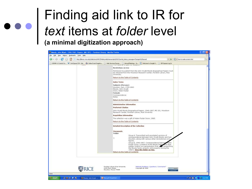### Finding aid link to IR for *text* items at *folder* level **(a minimal digitization approach)**

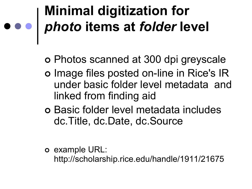# **Minimal digitization for** *photo* **items at** *folder* **level**

¢ Photos scanned at 300 dpi greyscale

- o Image files posted on-line in Rice's IR under basic folder level metadata and linked from finding aid
- ¢ Basic folder level metadata includes dc.Title, dc.Date, dc.Source

¢ example URL:

http://scholarship.rice.edu/handle/1911/21675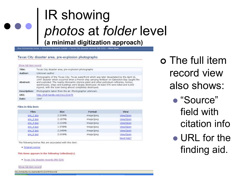### IR showing *photos* at *folder* level **(a minimal digitization approach)**

Rice Scholarship Home > Woodson Research Center > Texas City disaster records (MS 529) > View Item

#### Texas City disaster area, pre-explosion photographs

#### Show full item record

| Texas City disaster area, pre-explosion photographs                                                                                                                                                                                                                                                                                                                                                                                                  |
|------------------------------------------------------------------------------------------------------------------------------------------------------------------------------------------------------------------------------------------------------------------------------------------------------------------------------------------------------------------------------------------------------------------------------------------------------|
| Unknown author                                                                                                                                                                                                                                                                                                                                                                                                                                       |
| Photographs of the Texas City, Texas waterfront which was later devastated by the April 16,<br>1947 disaster which occurred when a French ship carrying fertilizer on Galveston Bay caught fire<br>and exploded. The nearby Monsanto styrene plant and other petroleum refineries, homes,<br>warehouses, ships and buildings were largely destroyed. At least 576 were killed and 4,000<br>injured, with the town being almost completely destroyed. |
| Photographs taken from the air. Photographer unknown.                                                                                                                                                                                                                                                                                                                                                                                                |
| http://hdi.handle.net/1911/21675                                                                                                                                                                                                                                                                                                                                                                                                                     |
| 1947                                                                                                                                                                                                                                                                                                                                                                                                                                                 |
|                                                                                                                                                                                                                                                                                                                                                                                                                                                      |

#### Files in this item

| <b>Files</b> | Size    | Format     | View       |
|--------------|---------|------------|------------|
| $pre_1.png$  | 2.209Mb | image/jpeg | View/Open  |
| $pre_2.png$  | 2.187Mb | image/jpeg | View/Open  |
| pre_3.tpg    | 2.216Mb | image/jpeg | View/Open  |
| pre 4.1pg    | 1.978Mb | image/jpeg | View/Open  |
| pre 5.tpg    | 2.245Mb | image/jpeg | View/Open  |
| pre_6.1pg    | 2.009Mb | image/jpeg | View/Open  |
|              |         |            | Need help? |

The following license files are associated with this item:

· Original License

This items appears in the following Collection(s)

. Texas City disaster records (MS 529)

Show full item record

http://scholarship.nice.edu/handle/1911/21675?show=full

¢ The full item record view also shows:

- "Source" field with citation info
- $\bullet$  URL for the finding aid.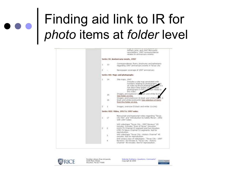## Finding aid link to IR for *photo* items at *folder* level

|                        | arring order analyse at he last to ret advertising and a<br>William Lane, and 1947 Monsanto<br>newsletters; 1997 correspondence.<br>relates to anniversary events.                                                                                      |
|------------------------|---------------------------------------------------------------------------------------------------------------------------------------------------------------------------------------------------------------------------------------------------------|
|                        | Series VI: Anniversary events, 1997                                                                                                                                                                                                                     |
| $1 -$<br>13            | Correspondence, flyers, brochures and ephemera<br>regarding 1997 anniversary events in Texas City                                                                                                                                                       |
| $\overline{2}$         | Newspaper coverage of 1997 anniversary                                                                                                                                                                                                                  |
|                        | Series VII: Maps and photographs                                                                                                                                                                                                                        |
| 1:14                   | Site maps, 1947.<br>Includes a site map annotated with<br>numbers relating to photographs, and<br>an index to those photographs, sut it is<br>not dear if the largely unas located<br><b>Cition</b> relate to<br>photographs in this col<br>this index. |
| $15 -$<br>16<br>$\sim$ | Images, pre-explosion (2) stack and white Bx10s<br>See folder on-line.<br>Images, post-explosion (6 black and white Bidos, 6<br>black and white postcards) See selection of items<br>from this folder on-line.                                          |
| $2^{\circ}$<br>ã.      | Images, oversize (5 black and white 11x14s).                                                                                                                                                                                                            |
|                        | Series VIII: Video, 1957 & 1997 notes                                                                                                                                                                                                                   |
| 17<br>$1 -$            | Manuscript and typescript notes regarding "Texas<br>City Film" and "Introduction to Safety Movie", 1952.<br>with 1997 notes                                                                                                                             |
| $\overline{2}$<br>ž.   | VHS videotape "Texas City - 1997 Reviews" 20.<br>minutes. Indudes "Eyes of Texas" (Houston<br>KHOU-TV Channel 2) segment and two Houston<br>KTRC-TV News Channel 13 segments. Not for<br>reproduction.                                                  |
| 3:                     | VHS videotape "Texas City - History Channel" 45<br>minutes, Not for reproduction.                                                                                                                                                                       |
| ¥.                     | DVD access copy of videotapes: "Texas City - 1997<br>Reviews" 20 minutes & "Texas City - History.                                                                                                                                                       |
|                        |                                                                                                                                                                                                                                                         |

**RICE** 

Fondren Library Rice University 6100 Main Street Houston, Texas 77005

Website Problems, Questions, Comments? Copyright @ 2008

**FORDRANET**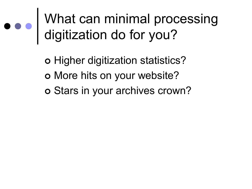What can minimal processing digitization do for you?

> ¢ Higher digitization statistics? ¢ More hits on your website? ¢ Stars in your archives crown?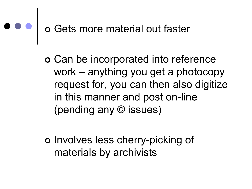# ¢ Gets more material out faster

¢ Can be incorporated into reference work – anything you get a photocopy request for, you can then also digitize in this manner and post on-line (pending any © issues)

o Involves less cherry-picking of materials by archivists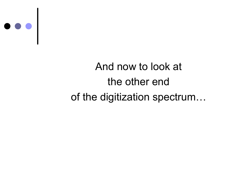

### And now to look at the other end of the digitization spectrum…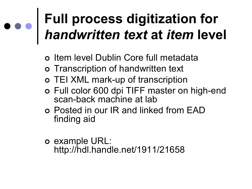## **Full process digitization for** *handwritten text* **at** *item* **level**

- ¢ Item level Dublin Core full metadata
- ¢ Transcription of handwritten text
- o TEI XML mark-up of transcription
- o Full color 600 dpi TIFF master on high-end scan-back machine at lab
- ¢ Posted in our IR and linked from EAD finding aid
- ¢ example URL: http://hdl.handle.net/1911/21658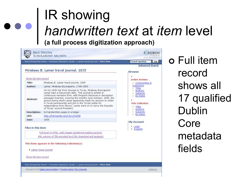### IR showing *handwritten text* at *item* level **(a full process digitization approach)**

|                                                 | Rice Scholarship Home > Woodson Research Center > Lamar travel journal > View Item                                                                                                                                                                                                                                                                                 | Search repository.<br>Go                                                                 |
|-------------------------------------------------|--------------------------------------------------------------------------------------------------------------------------------------------------------------------------------------------------------------------------------------------------------------------------------------------------------------------------------------------------------------------|------------------------------------------------------------------------------------------|
|                                                 |                                                                                                                                                                                                                                                                                                                                                                    | <b>Advanced Search</b>                                                                   |
| Show full item record<br>Title:<br>Author:      | Mirabeau B. Lamar travel journal, 1835<br>Mirabeau B. Lamar travel journal, 1835<br>Lamar, Mirabeau Buonaparte, 1798-1859<br>On his 1835 trip from Georgia to Texas, Mirabeau Buonaparte<br>Lamar kept a manuscript diary. This journal is written in                                                                                                              | Browse<br><b>Entire Archive</b><br>Communities &<br>Collections<br>o Titles<br>· Authors |
| Abstract:                                       | continuous narrative form, with frequent historical or descriptive<br>passages inserted, covering the months June-October, 1835, the<br>period during which Lamar apparently made his decision to settle<br>in Texas permanently and join in the Texian battle for<br>independence from Mexico. Lamar went on to serve the Republic<br>of Texas' second President. | · Subtects<br>· By Dates<br><b>This Collection</b><br>o Titles<br><sup>o</sup> Authors   |
| Description:                                    | 64 handwritten pages in a ledger                                                                                                                                                                                                                                                                                                                                   | <sup>o</sup> Subjects                                                                    |
| URI:                                            | http://hdl.handle.net/1911/21658                                                                                                                                                                                                                                                                                                                                   | ⊙ By Dates                                                                               |
| Date:                                           | 1835                                                                                                                                                                                                                                                                                                                                                               | My Account                                                                               |
| Files in this item                              |                                                                                                                                                                                                                                                                                                                                                                    | $-$ Login<br>· Register                                                                  |
|                                                 | Full book in HTML, with images (preferred reading version)                                                                                                                                                                                                                                                                                                         |                                                                                          |
|                                                 | XML version of TEI-encoded text (for download and analysis)                                                                                                                                                                                                                                                                                                        |                                                                                          |
| · Lamar travel journal<br>Show full item record | This items appears in the following Collection(s)                                                                                                                                                                                                                                                                                                                  |                                                                                          |
|                                                 |                                                                                                                                                                                                                                                                                                                                                                    |                                                                                          |
|                                                 | Rice Scholarship Home > Woodson Research Center > Lamar travel journal > View Item                                                                                                                                                                                                                                                                                 |                                                                                          |

¢ Full item record shows all 17 qualified Dublin Core metadata fields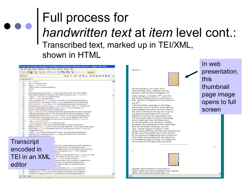### Full process for *handwritten text* at *item* level cont.: Transcribed text, marked up in TEI/XML, shown in HTML



Journal, J.

 $\overline{z}$ 



Having resolved to visit Texas with a view of settling there, if pleased with the province, I left my place of residence, Columbus Georgia, on Monday 15<sup>th</sup> June 1835.

and without meeting with any occurrence of note, arrived in Montgomery on the evening of the 16<sup>th</sup>

I had three fellow passengers in the Stage, one of whom was a man from Texas, but who could doubtless have given me much information which I desired, but he was to my eye so unprepossing a personage that I was not disposed to contract any acquaintance with him, and chose rather to loose the knowledge which I might gain from him than encounter the annoyance of his familiarity. Another passenger was a gentleman of the United States Army by the name of McKenzie, with the rank, I should suppose of Captain; a man of good sense, politeness and hansome attainments[.] He was one of the number sent to Fort Moultrie for the purpose of draggooning South Carolina out of her rights and overawing her into submission to intolerable outrage & wrongs, but I believe he had no heart for the infernal job, and would

In web presentation, this thumbnail page image opens to full screen

 $\overline{2}$ 

doubtless have resigned his commission in disgust rather than have proceeded to any violence against the injured and insulted State. He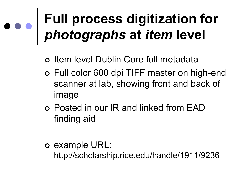## **Full process digitization for** *photographs* **at** *item* **level**

- ¢ Item level Dublin Core full metadata
- o Full color 600 dpi TIFF master on high-end scanner at lab, showing front and back of image
- ¢ Posted in our IR and linked from EAD finding aid
- ¢ example URL:

http://scholarship.rice.edu/handle/1911/9236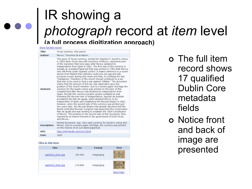### IR showing a *photograph* record at *item* level **(a full process digitization approach)**

#### Show full item record

| Author:<br>Mexico. Tesoreria de la Nacion.<br>This piece of Texan currency, printed for Stephen F. Austin's colony<br>in 1823 when Texas was still a territory of Mexico, represents part<br>of the transition that took place after Mexico declared its<br>independence from Spain in 1821. The first side of the currency is<br>actually an outdated Papal buil that was printed in 1784 while Mexico<br>was still firmly under Spanish control. It makes reference to a recent<br>decree from Madrid that Catholics could now eat egg and mik<br>products except during Holy Week and that, in exchange for this<br>"indulgence," members of the church should contribute to a tax<br>that was to be used to fund a war against "infidels." The document<br>states that the amount of this tax was dependent upon the<br>position of the church member. Due to a severe paper shortage the<br>Abstract:<br>currency for the Austin colony was printed on the back of this<br>outdated bull after Mexico had declared its independence from<br>Spain, though this currency became quickly outdated as well.<br>Following the Mexican War of Independence, Agustin de Iturbide<br>proclaimed the Plan de Iguala, which declared Mexico to be<br>independent of Spain and established the Mexican Empire in 1821.<br>However, when the second side of this currency was printed just<br>two years later, the Mexican Empire had already dissolved and the<br>Iberal-controlled Mexican Congress had disavowed the conservative<br>Plan de Iguala and was working to establish the 1824 Constitution<br>of Mexico. The printing on the second side of this document, then,<br>represents an interim moment in the government of both Texas<br>and Mexico.<br>Printed document, 1pp. Very early currency for Austin's colony and<br>Description:<br>Mexico. Due to a severe paper shortage, the currency was printed<br>on the reverse of an out-dated papal bull.<br>URT:<br>http://hdl.handle.net/1911/9236<br>1823<br>Date: | Title: | Texas currency: Diez pesos |
|------------------------------------------------------------------------------------------------------------------------------------------------------------------------------------------------------------------------------------------------------------------------------------------------------------------------------------------------------------------------------------------------------------------------------------------------------------------------------------------------------------------------------------------------------------------------------------------------------------------------------------------------------------------------------------------------------------------------------------------------------------------------------------------------------------------------------------------------------------------------------------------------------------------------------------------------------------------------------------------------------------------------------------------------------------------------------------------------------------------------------------------------------------------------------------------------------------------------------------------------------------------------------------------------------------------------------------------------------------------------------------------------------------------------------------------------------------------------------------------------------------------------------------------------------------------------------------------------------------------------------------------------------------------------------------------------------------------------------------------------------------------------------------------------------------------------------------------------------------------------------------------------------------------------------------------------------------------------------------------------------------------------------|--------|----------------------------|
|                                                                                                                                                                                                                                                                                                                                                                                                                                                                                                                                                                                                                                                                                                                                                                                                                                                                                                                                                                                                                                                                                                                                                                                                                                                                                                                                                                                                                                                                                                                                                                                                                                                                                                                                                                                                                                                                                                                                                                                                                              |        |                            |
|                                                                                                                                                                                                                                                                                                                                                                                                                                                                                                                                                                                                                                                                                                                                                                                                                                                                                                                                                                                                                                                                                                                                                                                                                                                                                                                                                                                                                                                                                                                                                                                                                                                                                                                                                                                                                                                                                                                                                                                                                              |        |                            |
|                                                                                                                                                                                                                                                                                                                                                                                                                                                                                                                                                                                                                                                                                                                                                                                                                                                                                                                                                                                                                                                                                                                                                                                                                                                                                                                                                                                                                                                                                                                                                                                                                                                                                                                                                                                                                                                                                                                                                                                                                              |        |                            |
|                                                                                                                                                                                                                                                                                                                                                                                                                                                                                                                                                                                                                                                                                                                                                                                                                                                                                                                                                                                                                                                                                                                                                                                                                                                                                                                                                                                                                                                                                                                                                                                                                                                                                                                                                                                                                                                                                                                                                                                                                              |        |                            |
|                                                                                                                                                                                                                                                                                                                                                                                                                                                                                                                                                                                                                                                                                                                                                                                                                                                                                                                                                                                                                                                                                                                                                                                                                                                                                                                                                                                                                                                                                                                                                                                                                                                                                                                                                                                                                                                                                                                                                                                                                              |        |                            |

#### Files in this item

| <b>Files</b>     | <b>Size</b> | Format     | View       |
|------------------|-------------|------------|------------|
| aa00015_0001.1pg | 140.9Kb     | image/jpeg |            |
| aa00015_0002.tpg | 174.8Kb     | image/jpeg |            |
|                  |             |            | Need help? |

¢ The full item record shows 17 qualified Dublin Core metadata fields

¢ Notice front and back of image are presented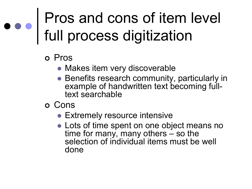## Pros and cons of item level full process digitization

#### ¢ Pros

- Makes item very discoverable
- Benefits research community, particularly in example of handwritten text becoming fulltext searchable
- ¢ Cons
	- Extremely resource intensive
	- Lots of time spent on one object means no time for many, many others  $\frac{1}{x}$  so the selection of individual items must be well done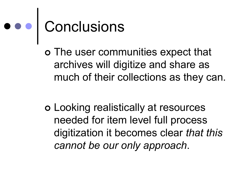# e e conclusions

¢ The user communities expect that archives will digitize and share as much of their collections as they can.

¢ Looking realistically at resources needed for item level full process digitization it becomes clear *that this cannot be our only approach*.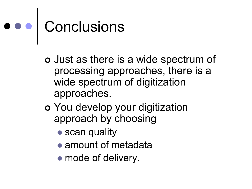# Conclusions

- ¢ Just as there is a wide spectrum of processing approaches, there is a wide spectrum of digitization approaches.
- ¢ You develop your digitization approach by choosing
	- scan quality
	- amount of metadata
	- mode of delivery.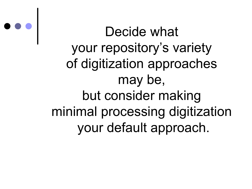Decide what your repository's variety of digitization approaches may be, but consider making minimal processing digitization your default approach.